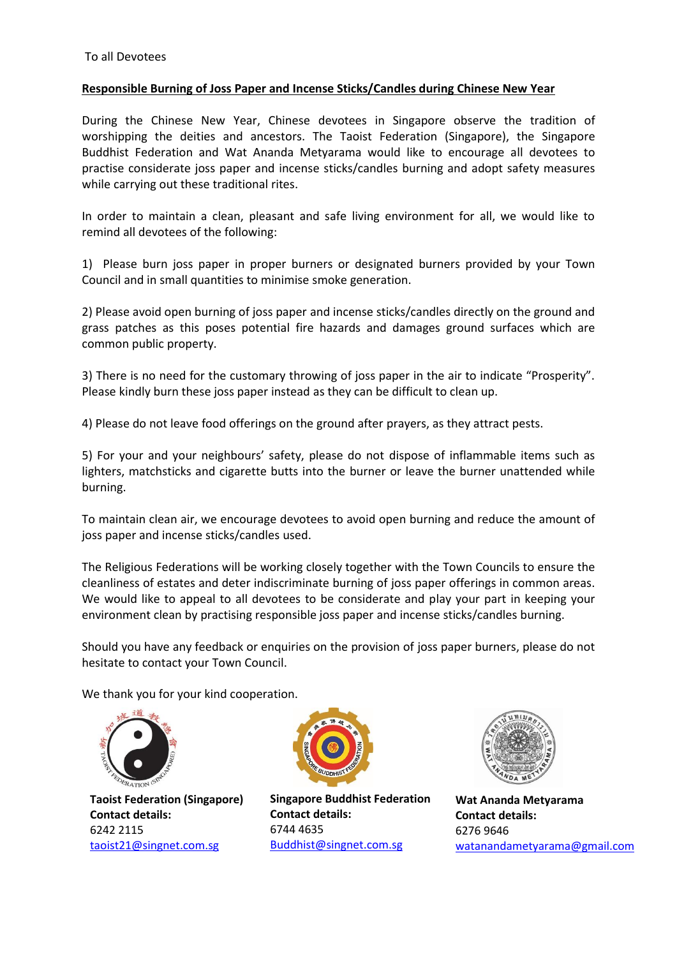## **Responsible Burning of Joss Paper and Incense Sticks/Candles during Chinese New Year**

During the Chinese New Year, Chinese devotees in Singapore observe the tradition of worshipping the deities and ancestors. The Taoist Federation (Singapore), the Singapore Buddhist Federation and Wat Ananda Metyarama would like to encourage all devotees to practise considerate joss paper and incense sticks/candles burning and adopt safety measures while carrying out these traditional rites.

In order to maintain a clean, pleasant and safe living environment for all, we would like to remind all devotees of the following:

1) Please burn joss paper in proper burners or designated burners provided by your Town Council and in small quantities to minimise smoke generation.

2) Please avoid open burning of joss paper and incense sticks/candles directly on the ground and grass patches as this poses potential fire hazards and damages ground surfaces which are common public property.

3) There is no need for the customary throwing of joss paper in the air to indicate "Prosperity". Please kindly burn these joss paper instead as they can be difficult to clean up.

4) Please do not leave food offerings on the ground after prayers, as they attract pests.

5) For your and your neighbours' safety, please do not dispose of inflammable items such as lighters, matchsticks and cigarette butts into the burner or leave the burner unattended while burning.

To maintain clean air, we encourage devotees to avoid open burning and reduce the amount of joss paper and incense sticks/candles used.

The Religious Federations will be working closely together with the Town Councils to ensure the cleanliness of estates and deter indiscriminate burning of joss paper offerings in common areas. We would like to appeal to all devotees to be considerate and play your part in keeping your environment clean by practising responsible joss paper and incense sticks/candles burning.

Should you have any feedback or enquiries on the provision of joss paper burners, please do not hesitate to contact your Town Council.

We thank you for your kind cooperation.



**Taoist Federation (Singapore) Contact details:**  6242 2115 [taoist21@singnet.com.sg](mailto:taoist21@singnet.com.sg)



**Singapore Buddhist Federation Contact details:**  6744 4635 [Buddhist@singnet.com.sg](mailto:Buddhist@singnet.com.sg)



**Wat Ananda Metyarama Contact details:**  6276 9646 [watanandametyarama@gmail.com](mailto:watanandametyarama@gmail.com)